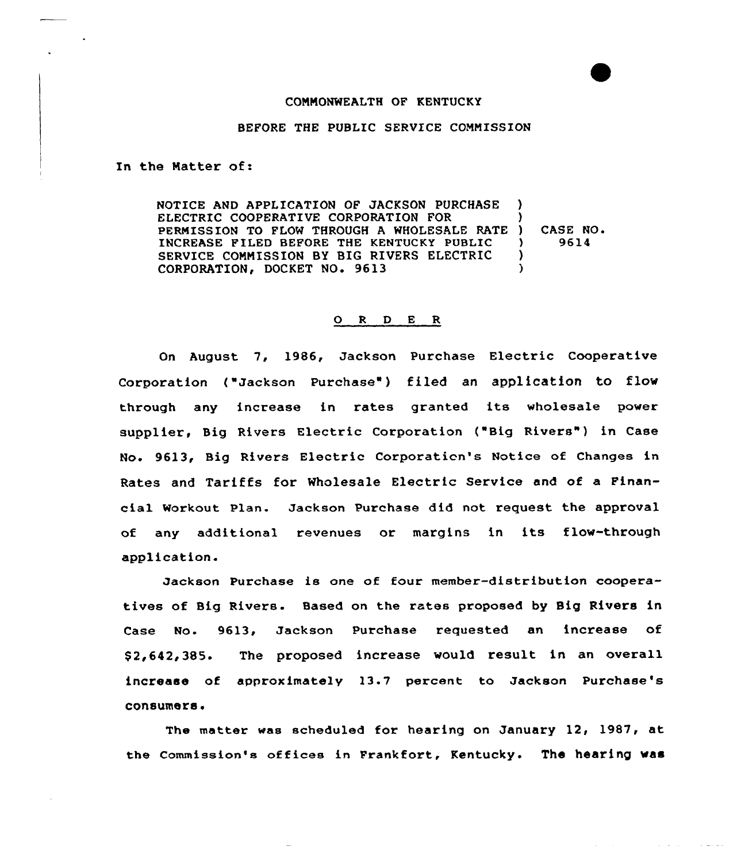#### CONNONWEALTH OF KENTUCKY

#### BEFORE THE PUBLIC SERVICE COMMISSION

In the Natter of:

NOTICE AND APPLICATION OF JACKSON PURCHASE ) ELECTRIC COOPERATIVE CORPORATION FOR PERMISSION TO FLOW THROUGH A WHOLESALE RATE ) INCREASE FILED BEFORE THE KENTUCKY PUBLIC SERVICE CONNISSION BY BIG RIVERS ELECTRIC CORPORATION, DOCKET NO. 9613 ) ) CASE NO.<br> $9614$ ) 9614 ) )

## 0 <sup>R</sup> <sup>D</sup> E R

On August 7, 1986, Jackson Purchase Electric Cooperative Corporation ("Jackson Purchase") filed an application to flow through any increase in rates granted its wholesale power supplier, Big Rivers Electric Corporation ("Big Rivers") in Case No. 9613, Big Rivers Electric Corporaticn's Notice of Changes in Rates and Tariffs for Wholesale Electric Service and of a Financial Workout Plan. Jackson Purchase did not request the approval of any additional revenues or margins in its flow-through application.

Jackson Purchase is one of four member-distribution cooperatives of Big Rivers. Based on the rates proposed by Big Rivers in Case No. 9613, Jackson Purchase requested an increase of \$ 2,642,385. The proposed increase would result in an overall increase of approximately )3-7 percent to Jackson Purchase's consumers.

The matter was scheduled for hearing on January 12, 1987, at the commission's offices in Frankfort, Kentucky. The hearing was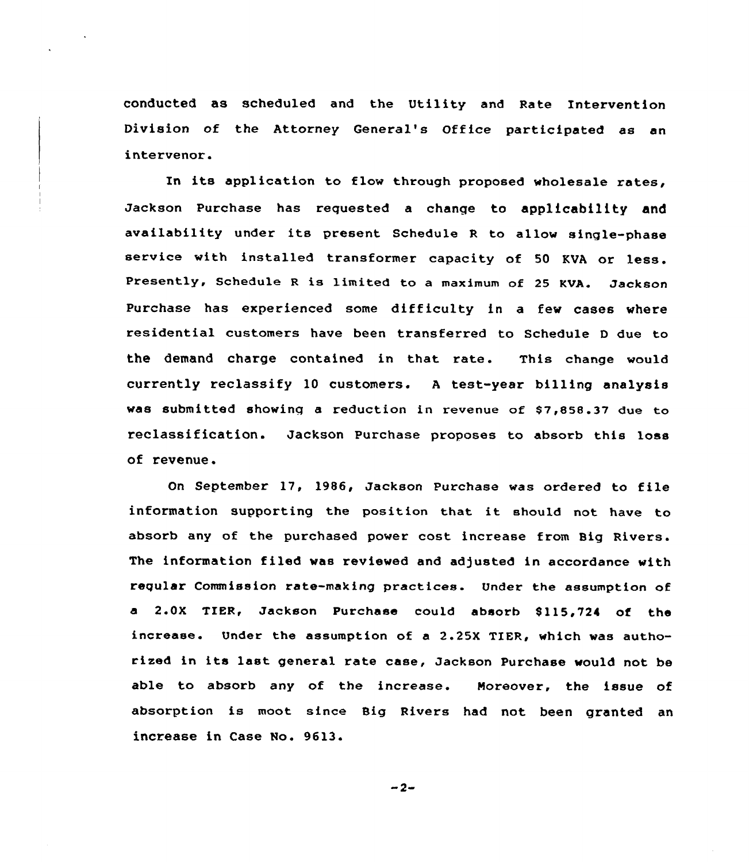conducted as scheduled and the Utility and Rate Intervention Division of the Attorney General's Office participated as an intervenor.

In its application to flow through proposed wholesale rates, Jackson Purchase has requested a change to applicability and availability under its present Schedule <sup>R</sup> to allow single-phase service with installed transformer capacity of <sup>50</sup> KVA or less. Presently, Schedule <sup>R</sup> is limited to <sup>a</sup> maximum of <sup>25</sup> KVA. Jackson Purchase has experienced some difficulty in a few cases where residential customexs have been transferred to Schedule <sup>D</sup> due to the demand charge contained in that rate. This change would currently reclassify 10 customers. <sup>A</sup> test-year billing analysis was submitted showing a reduction in revenue of \$7,858.37 due to reclassification. Jackson Puxchase proposes to absorb this loss of revenue.

On September 17, 1986, Jackson Purchase was ordered to file information supporting the position that it should not have to absorb any of the purchased power cost increase from Big Rivers. The information filed was reviewed and adjusted in accordance with repular Commission rate-making practices. Under the assumption of a 2.0X TIER, Jackson Purchase could absorb 8115,724 of the increase. Under the assumption of a 2.25X TIER, which was authorised in its last general rate case, Jackson Purchase would not be able to absorb any of the increase. Moreover, the issue of absorption is moot since Big Rivers had not been gxanted an increase in Case No. 9613.

 $-2-$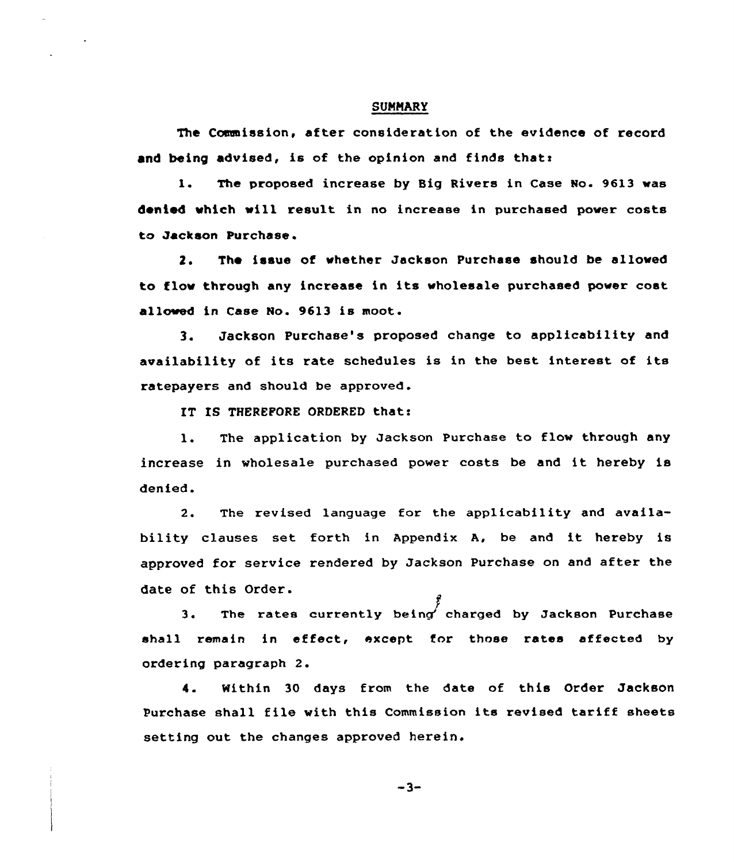#### **SUMMARY**

The Commission, after consideration of the evidence of record and being advised, is of the opinion and finds that:

1. The proposed increase by Big Rivers in Case No. 9613 was denied which will result in no increase in purchased power costs to Jackson Purchase.

2. The issue of whether Jackson Purchase should be allowed to flov through any increase in its wholesale purchased power cost allowed in Case No. 9613 is moot.

3. Jackson Purchase's proposed change to applicability and availability of its rate schedules is in the best interest of its ratepayers and should be approved .

IT IS THEREFORE ORDERED that:

1. The application by Jackson Purchase to flow through any increase in wholesale purchased power costs be and it hereby is denied.

2. The revised language for the applicability and availability clauses set forth in Appendix A, be and it hereby is approved for service rendered by Jackson Purchase on and after the date of this Order.

3. The rates currently being charged by Jackson Purchase shall remain in effect, except for those rates affected by ordering paragraph 2.

4. Nithin 30 days from the date of this Order Jackson Purchase shall file with this Commission its revised tariff sheets setting out the changes approved herein.

 $-3-$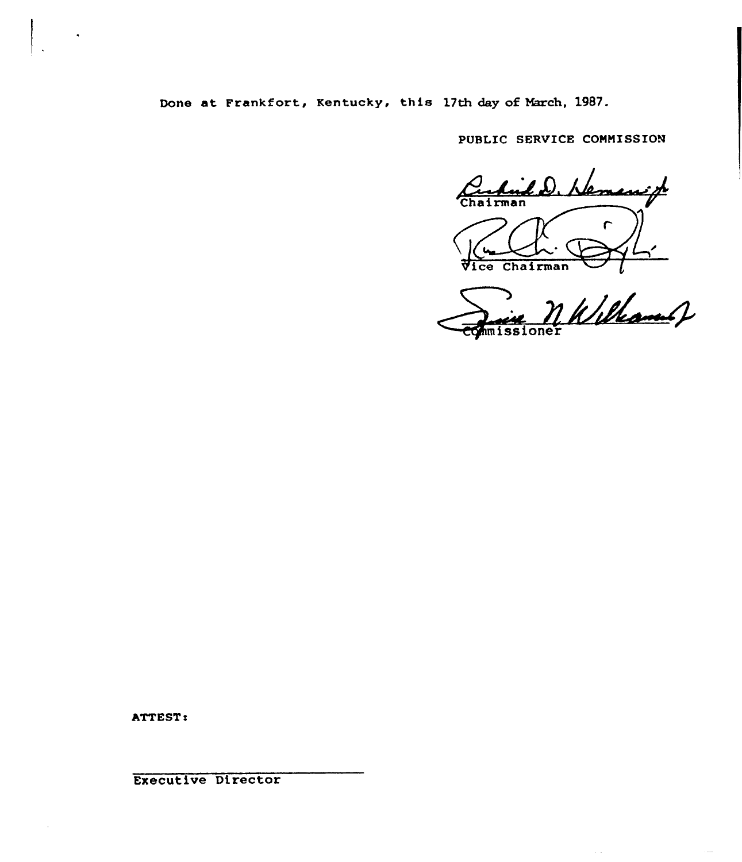Done at Frankfort, Kentucky, this 17th day of March, 1987.

PUBLIC SERVICE CONNISSION

Curtisle D. Nemerick  $\Gamma$ Vice Chairman

n<br>1 Killament J missioner

ATTEST.

Executive Director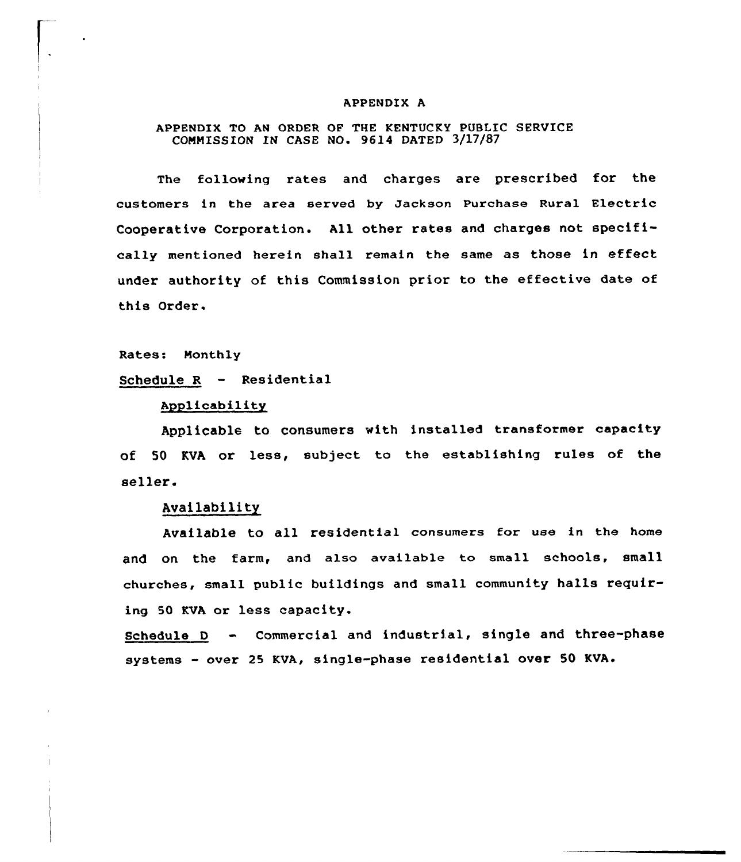#### APPENDIX A

## APPENDIX TO AN ORDER OF THE KENTUCKY PUBLIC SERVICE COMMISSION IN CASE NO. 9614 DATED 3/17/87

The following rates and charges are prescribed for the customers in the area sexved by Jackson Puxchase Ruxal Electric Cooperative Corporation. All other rates and charges not specifically mentioned herein shall remain the same as those in effect under authority of this Commission prior to the effective date of this Order.

Rates: Monthly

Schedule <sup>R</sup> — Residential

## Applicability

Applicable to consumers with installed txansformer capacity of 50 KVA or less, subject to the establishing rules of the seller.

## Availability

Available to all residential consumers for use in the home and on the farm, and also available to small schools, small churches, small public buildings and small community halls requiring 50 KVA or less capacity.

Schedule <sup>D</sup> — Commercial and industrial, single and three-phase systems - over 25 KVA, single-phase residential over 50 KVA.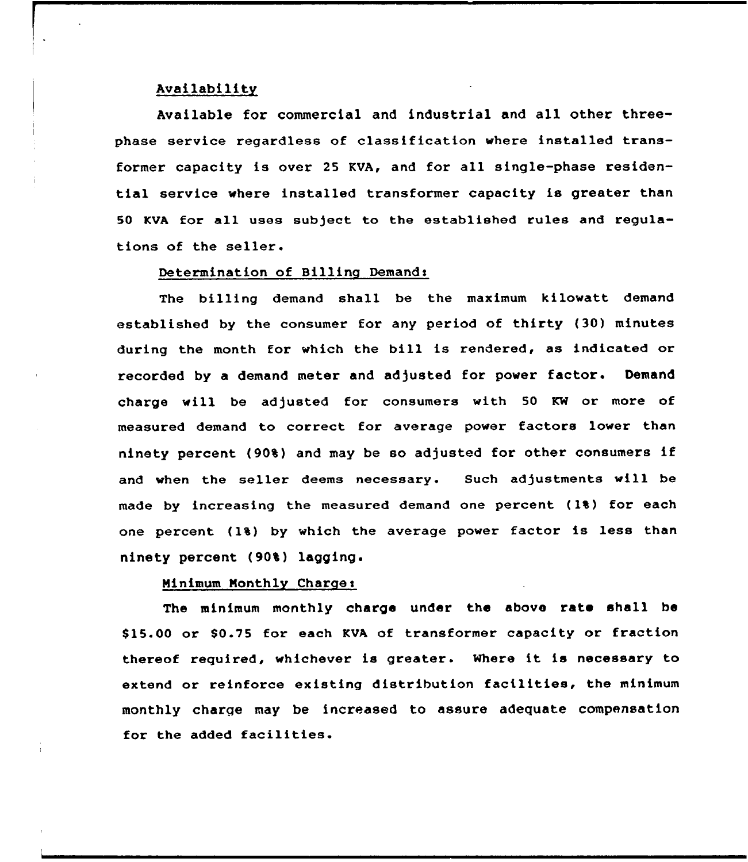#### Availability

Available for commercial and industrial and all other threephase service regardless of classification where installed transformer capacity is over 25 KVA, and for all single-phase residential service where installed transformer capacity is greater than <sup>50</sup> KVA for all uses subject to the established rules and regulations of the seller.

## Determination of Billing Demands

The billing demand shall be the maximum kilowatt demand established by the consumer for any period of thirty (30) minutes during the month for which the bill is rendered, as indicated or recorded by <sup>a</sup> demand meter and adjusted for power factor. Demand charge will be adjusted for consumers with 50 KW or more of measured demand to correct for average power factors lower than ninety percent (90%) and may be so adjusted for other consumers if and when the seller deems necessary. Such adjustments will be made by increasing the measured demand one percent (1%) for each one percent (1%) by which the average power factor is less than ninety percent (90%) lagging.

## Ninimum Nonthly Charges

The minimum monthly charge under the above rate shall be \$ 15.00 or S0.75 for each KVA of transformer capacity or fraction thereof required, whichever is greater. Where it is necessary to extend or reinforce existing distribution facilities, the minimum monthly charge may be increased to assure adequate compensation for the added facilities.